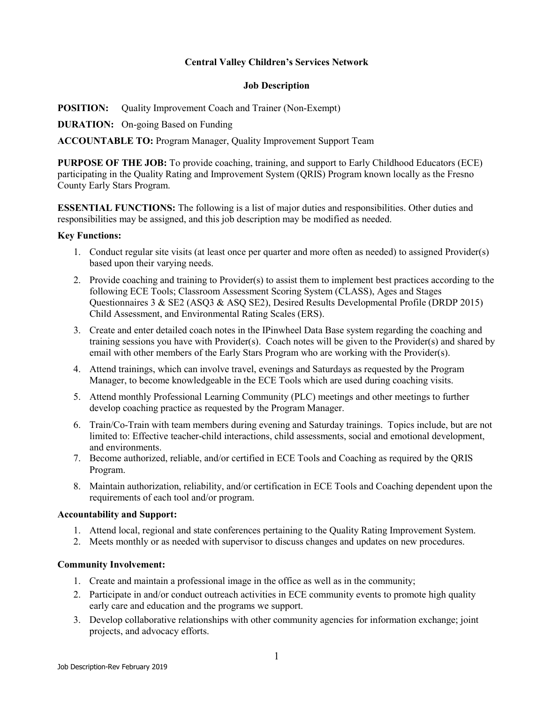### **Central Valley Children's Services Network**

#### **Job Description**

**POSITION:** Quality Improvement Coach and Trainer (Non-Exempt)

**DURATION:** On-going Based on Funding

**ACCOUNTABLE TO:** Program Manager, Quality Improvement Support Team

**PURPOSE OF THE JOB:** To provide coaching, training, and support to Early Childhood Educators (ECE) participating in the Quality Rating and Improvement System (QRIS) Program known locally as the Fresno County Early Stars Program.

**ESSENTIAL FUNCTIONS:** The following is a list of major duties and responsibilities. Other duties and responsibilities may be assigned, and this job description may be modified as needed.

#### **Key Functions:**

- 1. Conduct regular site visits (at least once per quarter and more often as needed) to assigned Provider(s) based upon their varying needs.
- 2. Provide coaching and training to Provider(s) to assist them to implement best practices according to the following ECE Tools; Classroom Assessment Scoring System (CLASS), Ages and Stages Questionnaires 3 & SE2 (ASQ3 & ASQ SE2), Desired Results Developmental Profile (DRDP 2015) Child Assessment, and Environmental Rating Scales (ERS).
- 3. Create and enter detailed coach notes in the IPinwheel Data Base system regarding the coaching and training sessions you have with Provider(s). Coach notes will be given to the Provider(s) and shared by email with other members of the Early Stars Program who are working with the Provider(s).
- 4. Attend trainings, which can involve travel, evenings and Saturdays as requested by the Program Manager, to become knowledgeable in the ECE Tools which are used during coaching visits.
- 5. Attend monthly Professional Learning Community (PLC) meetings and other meetings to further develop coaching practice as requested by the Program Manager.
- 6. Train/Co-Train with team members during evening and Saturday trainings. Topics include, but are not limited to: Effective teacher-child interactions, child assessments, social and emotional development, and environments.
- 7. Become authorized, reliable, and/or certified in ECE Tools and Coaching as required by the QRIS Program.
- 8. Maintain authorization, reliability, and/or certification in ECE Tools and Coaching dependent upon the requirements of each tool and/or program.

#### **Accountability and Support:**

- 1. Attend local, regional and state conferences pertaining to the Quality Rating Improvement System.
- 2. Meets monthly or as needed with supervisor to discuss changes and updates on new procedures.

#### **Community Involvement:**

- 1. Create and maintain a professional image in the office as well as in the community;
- 2. Participate in and/or conduct outreach activities in ECE community events to promote high quality early care and education and the programs we support.
- 3. Develop collaborative relationships with other community agencies for information exchange; joint projects, and advocacy efforts.